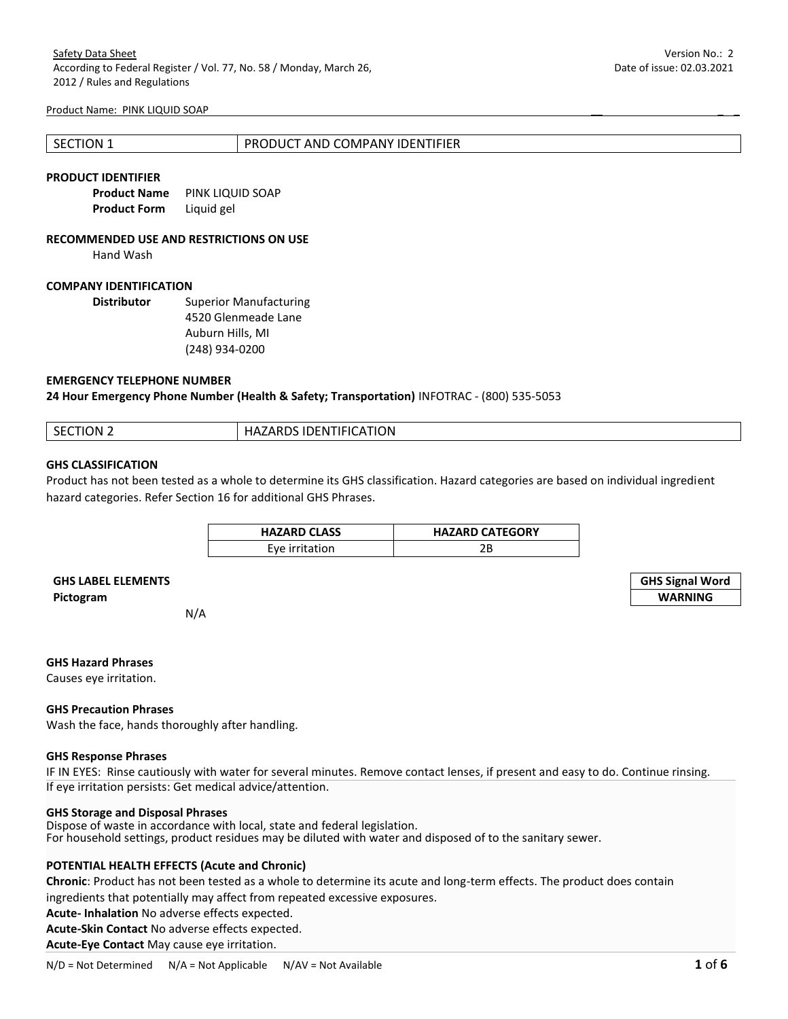| 1 SECTION 1 | PRODUCT AND COMPANY IDENTIFIER |
|-------------|--------------------------------|
|             |                                |

#### **PRODUCT IDENTIFIER**

| <b>Product Name</b> | PINK LIQUID SOAP |
|---------------------|------------------|
| Product Form        | Liquid gel       |

#### **RECOMMENDED USE AND RESTRICTIONS ON USE**

Hand Wash

## **COMPANY IDENTIFICATION**

**Distributor** Superior Manufacturing 4520 Glenmeade Lane Auburn Hills, MI (248) 934-0200

## **EMERGENCY TELEPHONE NUMBER**

**24 Hour Emergency Phone Number (Health & Safety; Transportation)** INFOTRAC - (800) 535-5053

| <b>SECTION 2</b> | <b>HAZARDS IDENTIFICATION</b> |
|------------------|-------------------------------|

## **GHS CLASSIFICATION**

Product has not been tested as a whole to determine its GHS classification. Hazard categories are based on individual ingredient hazard categories. Refer Section 16 for additional GHS Phrases.

| <b>HAZARD CLASS</b> | <b>HAZARD CATEGORY</b> |
|---------------------|------------------------|
| Eve irritation      | 2Β                     |

# **GHS LABEL ELEMENTS GHS Signal Word Pictogram WARNING**

N/A

## **GHS Hazard Phrases**

Causes eye irritation.

#### **GHS Precaution Phrases**

Wash the face, hands thoroughly after handling.

## **GHS Response Phrases**

IF IN EYES: Rinse cautiously with water for several minutes. Remove contact lenses, if present and easy to do. Continue rinsing. If eye irritation persists: Get medical advice/attention.

#### **GHS Storage and Disposal Phrases**

Dispose of waste in accordance with local, state and federal legislation. For household settings, product residues may be diluted with water and disposed of to the sanitary sewer.

## **POTENTIAL HEALTH EFFECTS (Acute and Chronic)**

**Chronic**: Product has not been tested as a whole to determine its acute and long-term effects. The product does contain ingredients that potentially may affect from repeated excessive exposures.

**Acute- Inhalation** No adverse effects expected.

**Acute-Skin Contact** No adverse effects expected.

**Acute-Eye Contact** May cause eye irritation.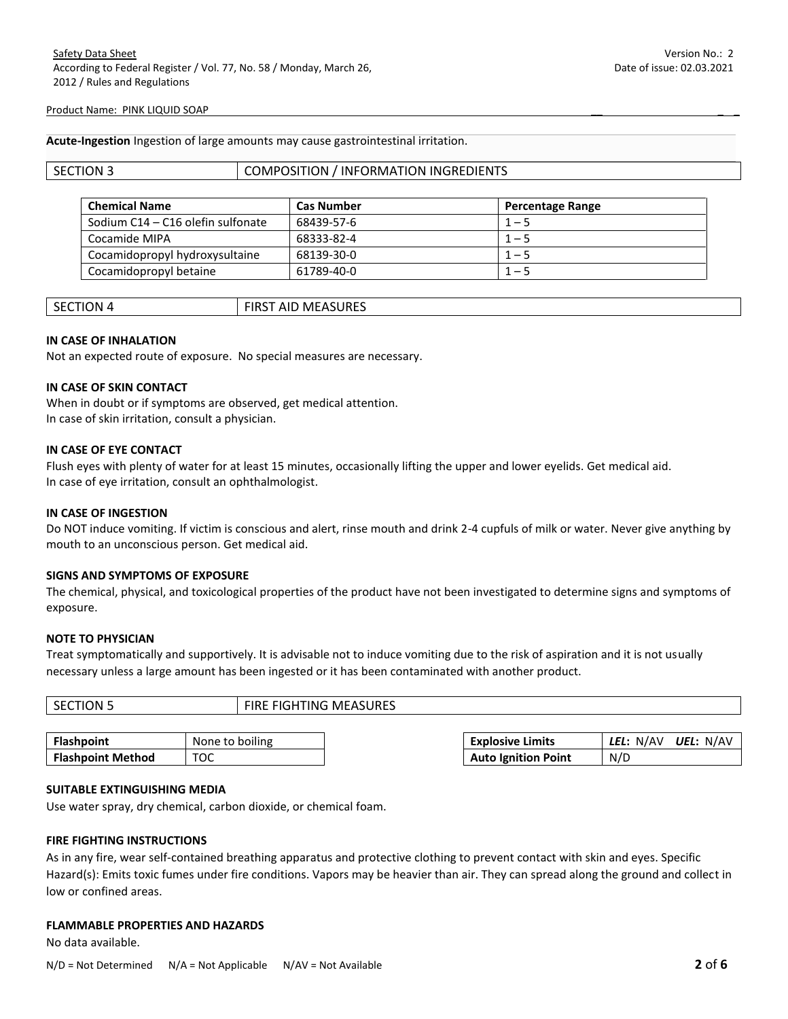**Acute-Ingestion** Ingestion of large amounts may cause gastrointestinal irritation.

## SECTION 3 COMPOSITION / INFORMATION INGREDIENTS

| <b>Chemical Name</b>              | <b>Cas Number</b> | <b>Percentage Range</b> |
|-----------------------------------|-------------------|-------------------------|
| Sodium C14 - C16 olefin sulfonate | 68439-57-6        | $1 - 5$                 |
| Cocamide MIPA                     | 68333-82-4        | $1 - 5$                 |
| Cocamidopropyl hydroxysultaine    | 68139-30-0        | $1 - 5$                 |
| Cocamidopropyl betaine            | 61789-40-0        | $1 - 5$                 |

| SECTION 4 | <b>FIRST AID MEASURES</b> |
|-----------|---------------------------|
|           |                           |

# **IN CASE OF INHALATION**

Not an expected route of exposure. No special measures are necessary.

## **IN CASE OF SKIN CONTACT**

When in doubt or if symptoms are observed, get medical attention. In case of skin irritation, consult a physician.

# **IN CASE OF EYE CONTACT**

Flush eyes with plenty of water for at least 15 minutes, occasionally lifting the upper and lower eyelids. Get medical aid. In case of eye irritation, consult an ophthalmologist.

## **IN CASE OF INGESTION**

Do NOT induce vomiting. If victim is conscious and alert, rinse mouth and drink 2-4 cupfuls of milk or water. Never give anything by mouth to an unconscious person. Get medical aid.

# **SIGNS AND SYMPTOMS OF EXPOSURE**

The chemical, physical, and toxicological properties of the product have not been investigated to determine signs and symptoms of exposure.

#### **NOTE TO PHYSICIAN**

Treat symptomatically and supportively. It is advisable not to induce vomiting due to the risk of aspiration and it is not usually necessary unless a large amount has been ingested or it has been contaminated with another product.

| <b>SECTION 5</b>         | <b>FIRE FIGHTING MEASURES</b> |                            |           |           |
|--------------------------|-------------------------------|----------------------------|-----------|-----------|
|                          |                               |                            |           |           |
| <b>Flashpoint</b>        | None to boiling               | <b>Explosive Limits</b>    | LEL: N/AV | UEL: N/AV |
| <b>Flashpoint Method</b> | тос                           | <b>Auto Ignition Point</b> | N/D       |           |

#### **SUITABLE EXTINGUISHING MEDIA**

Use water spray, dry chemical, carbon dioxide, or chemical foam.

#### **FIRE FIGHTING INSTRUCTIONS**

As in any fire, wear self-contained breathing apparatus and protective clothing to prevent contact with skin and eyes. Specific Hazard(s): Emits toxic fumes under fire conditions. Vapors may be heavier than air. They can spread along the ground and collect in low or confined areas.

### **FLAMMABLE PROPERTIES AND HAZARDS**

No data available.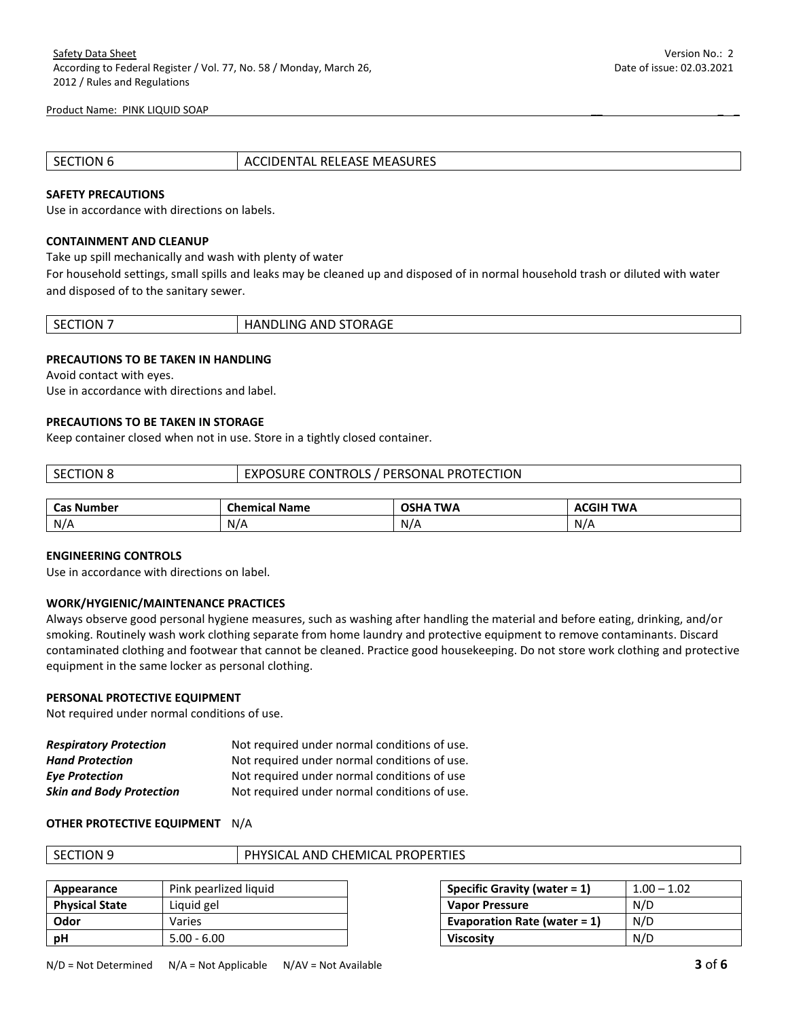| SECTION 6 | <b>ACCIDENTAL RELEASE MEASURES</b> |
|-----------|------------------------------------|
|           |                                    |

#### **SAFETY PRECAUTIONS**

Use in accordance with directions on labels.

## **CONTAINMENT AND CLEANUP**

Take up spill mechanically and wash with plenty of water

For household settings, small spills and leaks may be cleaned up and disposed of in normal household trash or diluted with water and disposed of to the sanitary sewer.

| ות<br>и<br>╲⊢<br>____ | <b>ORAGE</b><br>AND<br>≀LING<br>'ANDL<br><br>້ |
|-----------------------|------------------------------------------------|
|-----------------------|------------------------------------------------|

## **PRECAUTIONS TO BE TAKEN IN HANDLING**

Avoid contact with eyes.

Use in accordance with directions and label.

# **PRECAUTIONS TO BE TAKEN IN STORAGE**

Keep container closed when not in use. Store in a tightly closed container.

| l Section 8       | EXPOSURE CONTROLS / PERSONAL PROTECTION |                 |                  |
|-------------------|-----------------------------------------|-----------------|------------------|
|                   |                                         |                 |                  |
| <b>Cas Number</b> | <b>Chemical Name</b>                    | <b>OSHA TWA</b> | <b>ACGIH TWA</b> |

N/A N/A N/A N/A N/A N/A

#### **ENGINEERING CONTROLS**

Use in accordance with directions on label.

### **WORK/HYGIENIC/MAINTENANCE PRACTICES**

Always observe good personal hygiene measures, such as washing after handling the material and before eating, drinking, and/or smoking. Routinely wash work clothing separate from home laundry and protective equipment to remove contaminants. Discard contaminated clothing and footwear that cannot be cleaned. Practice good housekeeping. Do not store work clothing and protective equipment in the same locker as personal clothing.

## **PERSONAL PROTECTIVE EQUIPMENT**

Not required under normal conditions of use.

| <b>Respiratory Protection</b>   | Not required under normal conditions of use. |
|---------------------------------|----------------------------------------------|
| <b>Hand Protection</b>          | Not required under normal conditions of use. |
| <b>Eye Protection</b>           | Not required under normal conditions of use  |
| <b>Skin and Body Protection</b> | Not required under normal conditions of use. |

#### **OTHER PROTECTIVE EQUIPMENT** N/A

|--|

#### PHYSICAL AND CHEMICAL PROPERTIES

| Appearance            | Pink pearlized liquid | <b>Specific Gravity (water = 1)</b> | $1.00 - 1.02$ |
|-----------------------|-----------------------|-------------------------------------|---------------|
| <b>Physical State</b> | Liquid gel            | <b>Vapor Pressure</b>               | N/D           |
| Odor                  | Varies                | Evaporation Rate (water = $1$ )     | N/D           |
| рH                    | $5.00 - 6.00$         | <b>Viscosity</b>                    | N/D           |

| Specific Gravity (water $= 1$ ) | $1.00 - 1.02$ |
|---------------------------------|---------------|
| <b>Vapor Pressure</b>           | N/D           |
| Evaporation Rate (water = $1$ ) | N/D           |
| <b>Viscosity</b>                | N/D           |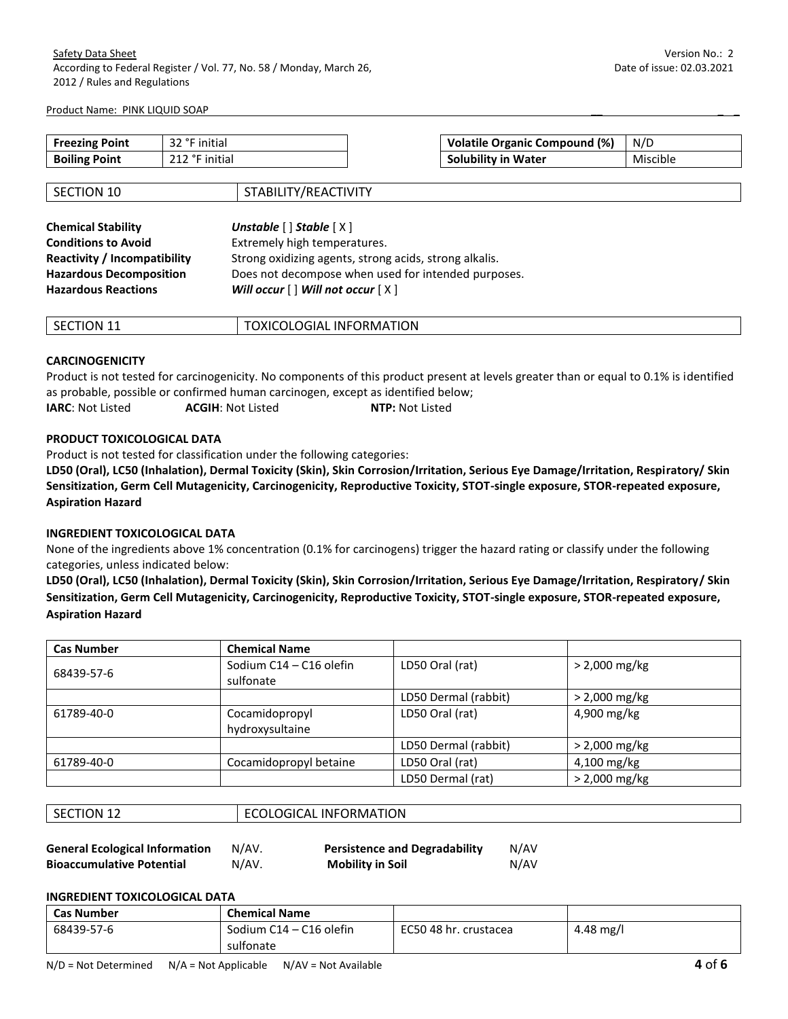| <b>Freezing Point</b> | $\sim$ 22.90 $\sim$<br>initial<br>34 | Volatile Organic Compound (%) | $N/\Gamma$ |
|-----------------------|--------------------------------------|-------------------------------|------------|
| <b>Boiling Point</b>  | 242<br>initia<br>ᅩᅩᄼ                 | <b>Solubility in Water</b>    | Miscible   |

| SECTION 10                          | STABILITY/REACTIVITY                                              |
|-------------------------------------|-------------------------------------------------------------------|
|                                     |                                                                   |
| <b>Chemical Stability</b>           | Unstable $\lceil \cdot \rceil$ Stable $\lceil \cdot \cdot \rceil$ |
| <b>Conditions to Avoid</b>          | Extremely high temperatures.                                      |
| <b>Reactivity / Incompatibility</b> | Strong oxidizing agents, strong acids, strong alkalis.            |
| <b>Hazardous Decomposition</b>      | Does not decompose when used for intended purposes.               |
| <b>Hazardous Reactions</b>          | Will occur $[ \ ]$ Will not occur $[ \ X ]$                       |

| וחר<br>-10<br>י ה<br>-- | FORMATION<br>ַ אוצר<br><b>INF</b><br>LOGIAL<br>-- |
|-------------------------|---------------------------------------------------|
|                         |                                                   |

# **CARCINOGENICITY**

Product is not tested for carcinogenicity. No components of this product present at levels greater than or equal to 0.1% is identified as probable, possible or confirmed human carcinogen, except as identified below; **IARC**: Not Listed **ACGIH**: Not Listed **NTP:** Not Listed

# **PRODUCT TOXICOLOGICAL DATA**

Product is not tested for classification under the following categories:

**LD50 (Oral), LC50 (Inhalation), Dermal Toxicity (Skin), Skin Corrosion/Irritation, Serious Eye Damage/Irritation, Respiratory/ Skin Sensitization, Germ Cell Mutagenicity, Carcinogenicity, Reproductive Toxicity, STOT-single exposure, STOR-repeated exposure, Aspiration Hazard** 

# **INGREDIENT TOXICOLOGICAL DATA**

None of the ingredients above 1% concentration (0.1% for carcinogens) trigger the hazard rating or classify under the following categories, unless indicated below:

**LD50 (Oral), LC50 (Inhalation), Dermal Toxicity (Skin), Skin Corrosion/Irritation, Serious Eye Damage/Irritation, Respiratory/ Skin Sensitization, Germ Cell Mutagenicity, Carcinogenicity, Reproductive Toxicity, STOT-single exposure, STOR-repeated exposure, Aspiration Hazard**

| <b>Cas Number</b> | <b>Chemical Name</b>                 |                      |                 |
|-------------------|--------------------------------------|----------------------|-----------------|
| 68439-57-6        | Sodium C14 - C16 olefin<br>sulfonate | LD50 Oral (rat)      | $> 2,000$ mg/kg |
|                   |                                      | LD50 Dermal (rabbit) | $> 2,000$ mg/kg |
| 61789-40-0        | Cocamidopropyl<br>hydroxysultaine    | LD50 Oral (rat)      | 4,900 mg/kg     |
|                   |                                      | LD50 Dermal (rabbit) | $> 2,000$ mg/kg |
| 61789-40-0        | Cocamidopropyl betaine               | LD50 Oral (rat)      | 4,100 mg/kg     |
|                   |                                      | LD50 Dermal (rat)    | $> 2,000$ mg/kg |

# ECOLOGICAL INFORMATION

**General Ecological Information** N/AV. **Persistence and Degradability** N/AV

**Bioaccumulative Potential** N/AV. **Mobility in Soil** N/AV

## **INGREDIENT TOXICOLOGICAL DATA**

| <b>Cas Number</b> | <b>Chemical Name</b>    |                       |           |
|-------------------|-------------------------|-----------------------|-----------|
| 68439-57-6        | Sodium C14 – C16 olefin | EC50 48 hr. crustacea | 4.48 mg/l |
|                   | sulfonate               |                       |           |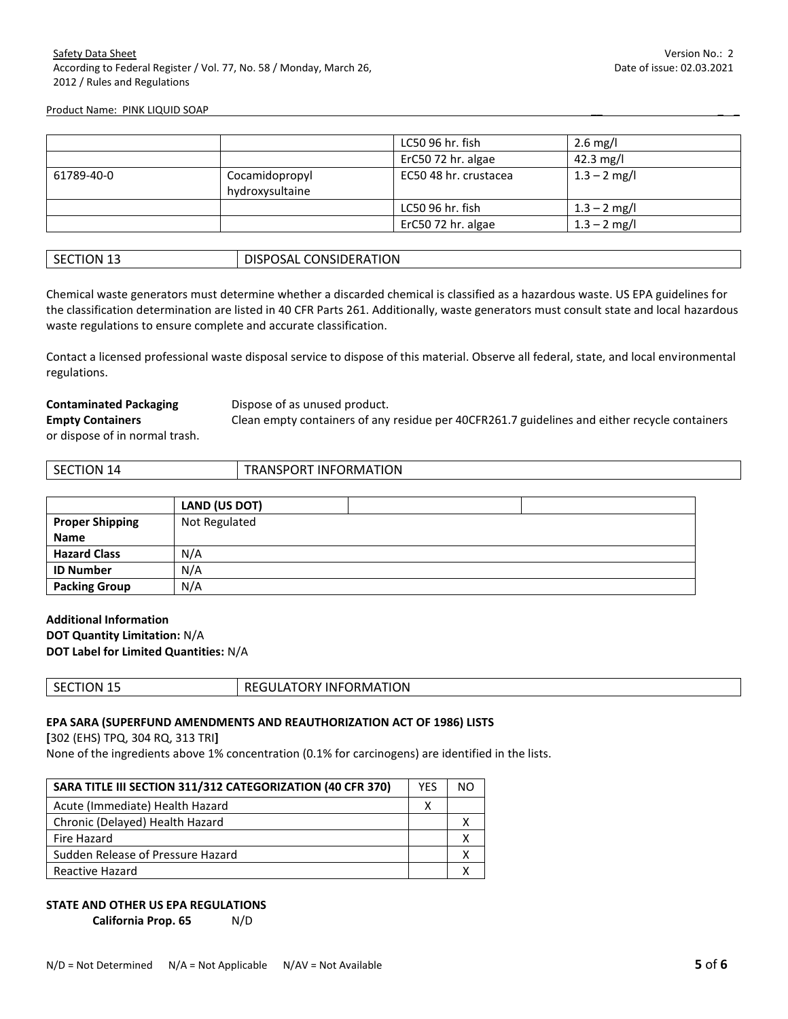|            |                                   | LC50 96 hr. fish      | 2.6 mg/l       |
|------------|-----------------------------------|-----------------------|----------------|
|            |                                   | ErC50 72 hr. algae    | 42.3 mg/l      |
| 61789-40-0 | Cocamidopropyl<br>hydroxysultaine | EC50 48 hr. crustacea | $1.3 - 2$ mg/l |
|            |                                   | LC50 96 hr. fish      | $1.3 - 2$ mg/l |
|            |                                   | ErC50 72 hr. algae    | $1.3 - 2$ mg/l |

| <b>CONSIDERATION</b><br>$\sim$<br><b>DISPOS</b><br><b>SECTION</b><br>20SAL<br>-- |  |
|----------------------------------------------------------------------------------|--|
|----------------------------------------------------------------------------------|--|

Chemical waste generators must determine whether a discarded chemical is classified as a hazardous waste. US EPA guidelines for the classification determination are listed in 40 CFR Parts 261. Additionally, waste generators must consult state and local hazardous waste regulations to ensure complete and accurate classification.

Contact a licensed professional waste disposal service to dispose of this material. Observe all federal, state, and local environmental regulations.

**Contaminated Packaging Bispose of as unused product.** 

**Empty Containers** Clean empty containers of any residue per 40CFR261.7 guidelines and either recycle containers

or dispose of in normal trash.

| ЭN<br><br>$\prime$<br>эt<br>. | TION.<br>-INF<br>POR<br>()RM∆<br>' A N S<br>.<br>. |
|-------------------------------|----------------------------------------------------|
|                               |                                                    |

|                        | LAND (US DOT) |
|------------------------|---------------|
| <b>Proper Shipping</b> | Not Regulated |
| <b>Name</b>            |               |
| <b>Hazard Class</b>    | N/A           |
| <b>ID Number</b>       | N/A           |
| <b>Packing Group</b>   | N/A           |

**Additional Information DOT Quantity Limitation:** N/A **DOT Label for Limited Quantities:** N/A

|  | эN<br>5F)<br>''' | TION<br>∩RMA⊺<br>INFC<br>. IRV |
|--|------------------|--------------------------------|
|--|------------------|--------------------------------|

# **EPA SARA (SUPERFUND AMENDMENTS AND REAUTHORIZATION ACT OF 1986) LISTS**

**[**302 (EHS) TPQ, 304 RQ, 313 TRI**]** 

None of the ingredients above 1% concentration (0.1% for carcinogens) are identified in the lists.

| SARA TITLE III SECTION 311/312 CATEGORIZATION (40 CFR 370) |  | NΟ |
|------------------------------------------------------------|--|----|
| Acute (Immediate) Health Hazard                            |  |    |
| Chronic (Delayed) Health Hazard                            |  |    |
| Fire Hazard                                                |  |    |
| Sudden Release of Pressure Hazard                          |  |    |
| Reactive Hazard                                            |  |    |

# **STATE AND OTHER US EPA REGULATIONS**

**California Prop. 65** N/D